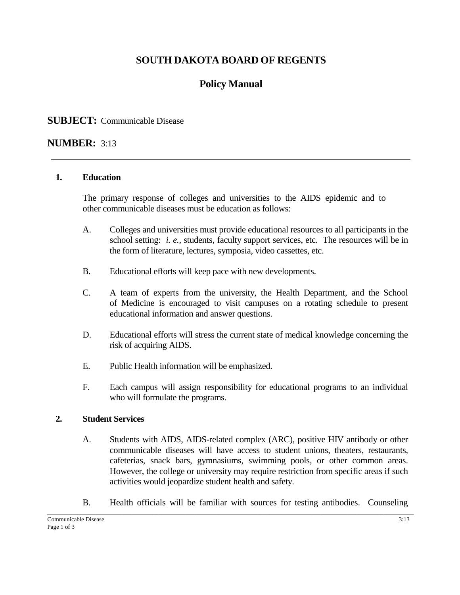# **SOUTH DAKOTA BOARD OF REGENTS**

# **Policy Manual**

## **SUBJECT:** Communicable Disease

## **NUMBER:** 3:13

#### **1. Education**

The primary response of colleges and universities to the AIDS epidemic and to other communicable diseases must be education as follows:

- A. Colleges and universities must provide educational resources to all participants in the school setting: *i. e.,* students, faculty support services, etc. The resources will be in the form of literature, lectures, symposia, video cassettes, etc.
- B. Educational efforts will keep pace with new developments.
- C. A team of experts from the university, the Health Department, and the School of Medicine is encouraged to visit campuses on a rotating schedule to present educational information and answer questions.
- D. Educational efforts will stress the current state of medical knowledge concerning the risk of acquiring AIDS.
- E. Public Health information will be emphasized.
- F. Each campus will assign responsibility for educational programs to an individual who will formulate the programs.

### **2. Student Services**

- A. Students with AIDS, AIDS-related complex (ARC), positive HIV antibody or other communicable diseases will have access to student unions, theaters, restaurants, cafeterias, snack bars, gymnasiums, swimming pools, or other common areas. However, the college or university may require restriction from specific areas if such activities would jeopardize student health and safety.
- B. Health officials will be familiar with sources for testing antibodies. Counseling

 $\_$  , and the set of the set of the set of the set of the set of the set of the set of the set of the set of the set of the set of the set of the set of the set of the set of the set of the set of the set of the set of th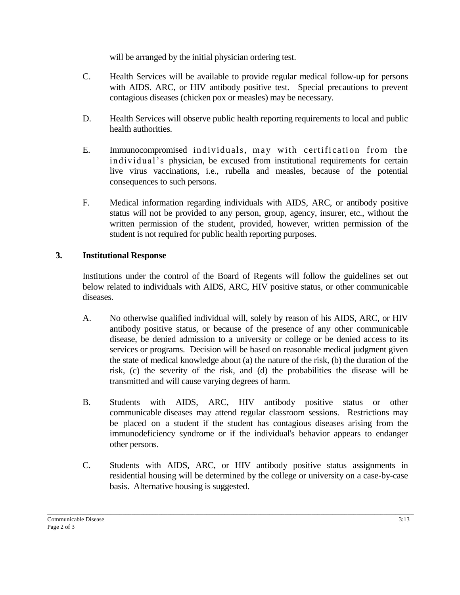will be arranged by the initial physician ordering test.

- C. Health Services will be available to provide regular medical follow-up for persons with AIDS. ARC, or HIV antibody positive test. Special precautions to prevent contagious diseases (chicken pox or measles) may be necessary.
- D. Health Services will observe public health reporting requirements to local and public health authorities.
- E. Immunocompromised individuals, may with certification from the in dividual's physician, be excused from institutional requirements for certain live virus vaccinations, i.e., rubella and measles, because of the potential consequences to such persons.
- F. Medical information regarding individuals with AIDS, ARC, or antibody positive status will not be provided to any person, group, agency, insurer, etc., without the written permission of the student, provided, however, written permission of the student is not required for public health reporting purposes.

#### **3. Institutional Response**

Institutions under the control of the Board of Regents will follow the guidelines set out below related to individuals with AIDS, ARC, HIV positive status, or other communicable diseases.

- A. No otherwise qualified individual will, solely by reason of his AIDS, ARC, or HIV antibody positive status, or because of the presence of any other communicable disease, be denied admission to a university or college or be denied access to its services or programs. Decision will be based on reasonable medical judgment given the state of medical knowledge about (a) the nature of the risk, (b) the duration of the risk, (c) the severity of the risk, and (d) the probabilities the disease will be transmitted and will cause varying degrees of harm.
- B. Students with AIDS, ARC, HIV antibody positive status or other communicable diseases may attend regular classroom sessions. Restrictions may be placed on a student if the student has contagious diseases arising from the immunodeficiency syndrome or if the individual's behavior appears to endanger other persons.
- C. Students with AIDS, ARC, or HIV antibody positive status assignments in residential housing will be determined by the college or university on a case-by-case basis. Alternative housing is suggested.

 $\_$  , and the set of the set of the set of the set of the set of the set of the set of the set of the set of the set of the set of the set of the set of the set of the set of the set of the set of the set of the set of th